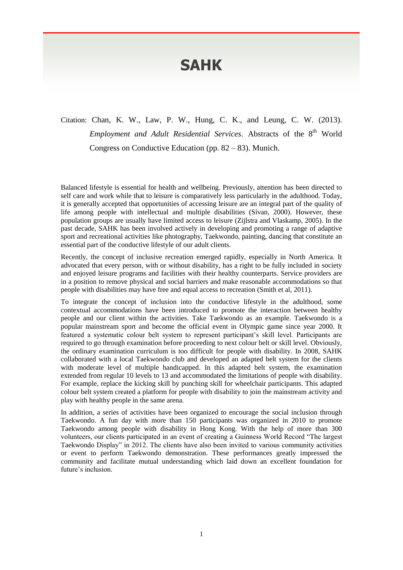## **SAHK**

## Citation: Chan, K. W., Law, P. W., Hung, C. K., and Leung, C. W. (2013). Employment and Adult Residential Services. Abstracts of the 8<sup>th</sup> World Congress on Conductive Education (pp.  $82 - 83$ ). Munich.

Balanced lifestyle is essential for health and wellbeing. Previously, attention has been directed to self care and work while that to leisure is comparatively less particularly in the adulthood. Today, it is generally accepted that opportunities of accessing leisure are an integral part of the quality of life among people with intellectual and multiple disabilities (Sivan, 2000). However, these population groups are usually have limited access to leisure (Zijlstra and Vlaskamp, 2005). In the past decade, SAHK has been involved actively in developing and promoting a range of adaptive sport and recreational activities like photography, Taekwondo, painting, dancing that constitute an essential part of the conductive lifestyle of our adult clients.

Recently, the concept of inclusive recreation emerged rapidly, especially in North America. It advocated that every person, with or without disability, has a right to be fully included in society and enjoyed leisure programs and facilities with their healthy counterparts. Service providers are in a position to remove physical and social barriers and make reasonable accommodations so that people with disabilities may have free and equal access to recreation (Smith et al, 2011).

To integrate the concept of inclusion into the conductive lifestyle in the adulthood, some contextual accommodations have been introduced to promote the interaction between healthy people and our client within the activities. Take Taekwondo as an example. Taekwondo is a popular mainstream sport and become the official event in Olympic game since year 2000. It featured a systematic colour belt system to represent participant's skill level. Participants are required to go through examination before proceeding to next colour belt or skill level. Obviously, the ordinary examination curriculum is too difficult for people with disability. In 2008, SAHK collaborated with a local Taekwondo club and developed an adapted belt system for the clients with moderate level of multiple handicapped. In this adapted belt system, the examination extended from regular 10 levels to 13 and accommodated the limitations of people with disability. For example, replace the kicking skill by punching skill for wheelchair participants. This adapted colour belt system created a platform for people with disability to join the mainstream activity and play with healthy people in the same arena.

In addition, a series of activities have been organized to encourage the social inclusion through Taekwondo. A fun day with more than 150 participants was organized in 2010 to promote Taekwondo among people with disability in Hong Kong. With the help of more than 300 volunteers, our clients participated in an event of creating a Guinness World Record "The largest Taekwondo Display" in 2012. The clients have also been invited to various community activities or event to perform Taekwondo demonstration. These performances greatly impressed the community and facilitate mutual understanding which laid down an excellent foundation for future's inclusion.